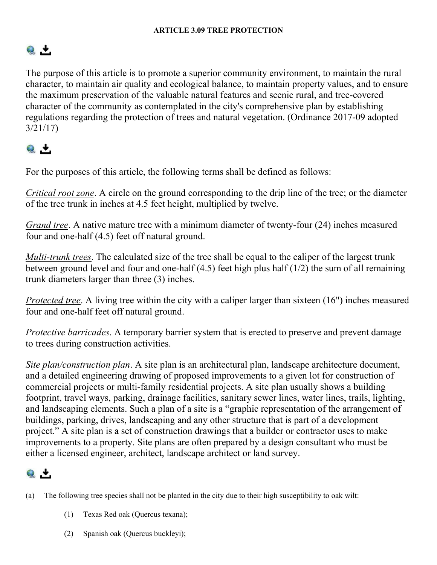# $Q_{\perp}$

The purpose of this article is to promote a superior community environment, to maintain the rural character, to maintain air quality and ecological balance, to maintain property values, and to ensure the maximum preservation of the valuable natural features and scenic rural, and tree-covered character of the community as contemplated in the city's comprehensive plan by establishing regulations regarding the protection of trees and natural vegetation. (Ordinance 2017-09 adopted 3/21/17)

# $Q_{\perp}$

For the purposes of this article, the following terms shall be defined as follows:

*Critical root zone*. A circle on the ground corresponding to the drip line of the tree; or the diameter of the tree trunk in inches at 4.5 feet height, multiplied by twelve.

*Grand tree*. A native mature tree with a minimum diameter of twenty-four (24) inches measured four and one-half (4.5) feet off natural ground.

*Multi-trunk trees*. The calculated size of the tree shall be equal to the caliper of the largest trunk between ground level and four and one-half (4.5) feet high plus half (1/2) the sum of all remaining trunk diameters larger than three (3) inches.

*Protected tree*. A living tree within the city with a caliper larger than sixteen (16") inches measured four and one-half feet off natural ground.

*Protective barricades*. A temporary barrier system that is erected to preserve and prevent damage to trees during construction activities.

*Site plan/construction plan*. A site plan is an architectural plan, landscape architecture document, and a detailed engineering drawing of proposed improvements to a given lot for construction of commercial projects or multi-family residential projects. A site plan usually shows a building footprint, travel ways, parking, drainage facilities, sanitary sewer lines, water lines, trails, lighting, and landscaping elements. Such a plan of a site is a "graphic representation of the arrangement of buildings, parking, drives, landscaping and any other structure that is part of a development project." A site plan is a set of construction drawings that a builder or contractor uses to make improvements to a property. Site plans are often prepared by a design consultant who must be either a licensed engineer, architect, landscape architect or land survey.

### $\bullet$   $\overline{ }$

- (a) The following tree species shall not be planted in the city due to their high susceptibility to oak wilt:
	- (1) Texas Red oak (Quercus texana);
	- (2) Spanish oak (Quercus buckleyi);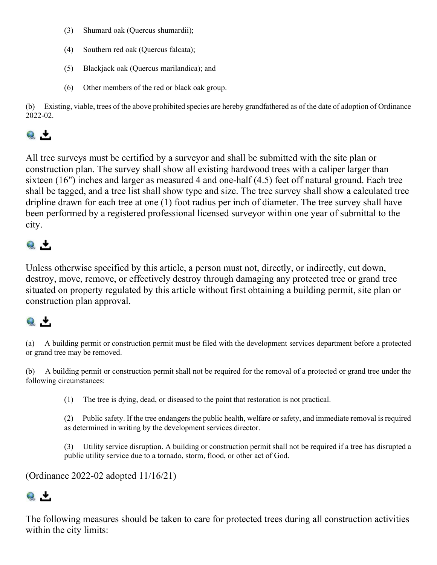- (3) Shumard oak (Quercus shumardii);
- (4) Southern red oak (Quercus falcata);
- (5) Blackjack oak (Quercus marilandica); and
- (6) Other members of the red or black oak group.

(b) Existing, viable, trees of the above prohibited species are hereby grandfathered as of the date of adoption of Ordinance 2022-02.

### $\bullet$  +

All tree surveys must be certified by a surveyor and shall be submitted with the site plan or construction plan. The survey shall show all existing hardwood trees with a caliper larger than sixteen (16") inches and larger as measured 4 and one-half (4.5) feet off natural ground. Each tree shall be tagged, and a tree list shall show type and size. The tree survey shall show a calculated tree dripline drawn for each tree at one (1) foot radius per inch of diameter. The tree survey shall have been performed by a registered professional licensed surveyor within one year of submittal to the city.

# $Q_{\perp}$

Unless otherwise specified by this article, a person must not, directly, or indirectly, cut down, destroy, move, remove, or effectively destroy through damaging any protected tree or grand tree situated on property regulated by this article without first obtaining a building permit, site plan or construction plan approval.

### $Q_{\perp}$

(a) A building permit or construction permit must be filed with the development services department before a protected or grand tree may be removed.

(b) A building permit or construction permit shall not be required for the removal of a protected or grand tree under the following circumstances:

(1) The tree is dying, dead, or diseased to the point that restoration is not practical.

(2) Public safety. If the tree endangers the public health, welfare or safety, and immediate removal is required as determined in writing by the development services director.

(3) Utility service disruption. A building or construction permit shall not be required if a tree has disrupted a public utility service due to a tornado, storm, flood, or other act of God.

(Ordinance 2022-02 adopted 11/16/21)

# $\bullet$   $\cdot$

The following measures should be taken to care for protected trees during all construction activities within the city limits: